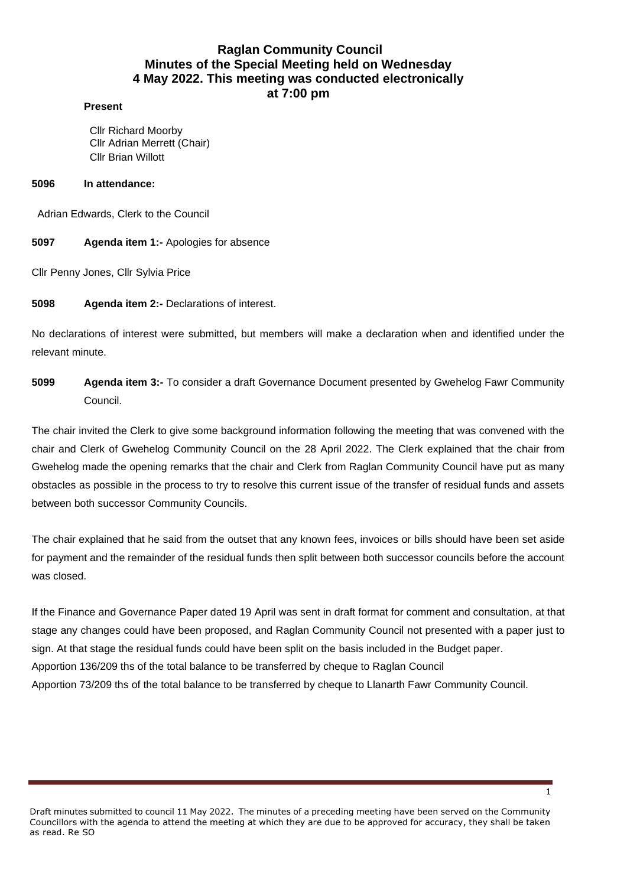# **Raglan Community Council Minutes of the Special Meeting held on Wednesday 4 May 2022. This meeting was conducted electronically at 7:00 pm**

#### **Present**

Cllr Richard Moorby Cllr Adrian Merrett (Chair) Cllr Brian Willott

#### **5096 In attendance:**

Adrian Edwards, Clerk to the Council

**5097 Agenda item 1:-** Apologies for absence

Cllr Penny Jones, Cllr Sylvia Price

**5098 Agenda item 2:-** Declarations of interest.

No declarations of interest were submitted, but members will make a declaration when and identified under the relevant minute.

**5099 Agenda item 3:-** To consider a draft Governance Document presented by Gwehelog Fawr Community Council.

The chair invited the Clerk to give some background information following the meeting that was convened with the chair and Clerk of Gwehelog Community Council on the 28 April 2022. The Clerk explained that the chair from Gwehelog made the opening remarks that the chair and Clerk from Raglan Community Council have put as many obstacles as possible in the process to try to resolve this current issue of the transfer of residual funds and assets between both successor Community Councils.

The chair explained that he said from the outset that any known fees, invoices or bills should have been set aside for payment and the remainder of the residual funds then split between both successor councils before the account was closed.

If the Finance and Governance Paper dated 19 April was sent in draft format for comment and consultation, at that stage any changes could have been proposed, and Raglan Community Council not presented with a paper just to sign. At that stage the residual funds could have been split on the basis included in the Budget paper. Apportion 136/209 ths of the total balance to be transferred by cheque to Raglan Council Apportion 73/209 ths of the total balance to be transferred by cheque to Llanarth Fawr Community Council.

Draft minutes submitted to council 11 May 2022. The minutes of a preceding meeting have been served on the Community Councillors with the agenda to attend the meeting at which they are due to be approved for accuracy, they shall be taken as read. Re SO

1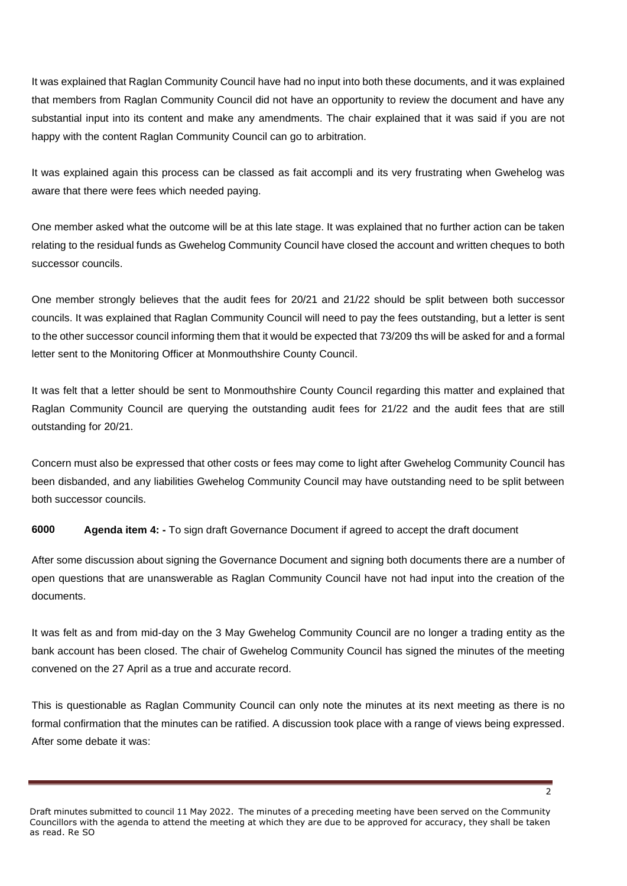It was explained that Raglan Community Council have had no input into both these documents, and it was explained that members from Raglan Community Council did not have an opportunity to review the document and have any substantial input into its content and make any amendments. The chair explained that it was said if you are not happy with the content Raglan Community Council can go to arbitration.

It was explained again this process can be classed as fait accompli and its very frustrating when Gwehelog was aware that there were fees which needed paying.

One member asked what the outcome will be at this late stage. It was explained that no further action can be taken relating to the residual funds as Gwehelog Community Council have closed the account and written cheques to both successor councils.

One member strongly believes that the audit fees for 20/21 and 21/22 should be split between both successor councils. It was explained that Raglan Community Council will need to pay the fees outstanding, but a letter is sent to the other successor council informing them that it would be expected that 73/209 ths will be asked for and a formal letter sent to the Monitoring Officer at Monmouthshire County Council.

It was felt that a letter should be sent to Monmouthshire County Council regarding this matter and explained that Raglan Community Council are querying the outstanding audit fees for 21/22 and the audit fees that are still outstanding for 20/21.

Concern must also be expressed that other costs or fees may come to light after Gwehelog Community Council has been disbanded, and any liabilities Gwehelog Community Council may have outstanding need to be split between both successor councils.

**6000 Agenda item 4: -** To sign draft Governance Document if agreed to accept the draft document

After some discussion about signing the Governance Document and signing both documents there are a number of open questions that are unanswerable as Raglan Community Council have not had input into the creation of the documents.

It was felt as and from mid-day on the 3 May Gwehelog Community Council are no longer a trading entity as the bank account has been closed. The chair of Gwehelog Community Council has signed the minutes of the meeting convened on the 27 April as a true and accurate record.

This is questionable as Raglan Community Council can only note the minutes at its next meeting as there is no formal confirmation that the minutes can be ratified. A discussion took place with a range of views being expressed. After some debate it was:

Draft minutes submitted to council 11 May 2022. The minutes of a preceding meeting have been served on the Community Councillors with the agenda to attend the meeting at which they are due to be approved for accuracy, they shall be taken as read. Re SO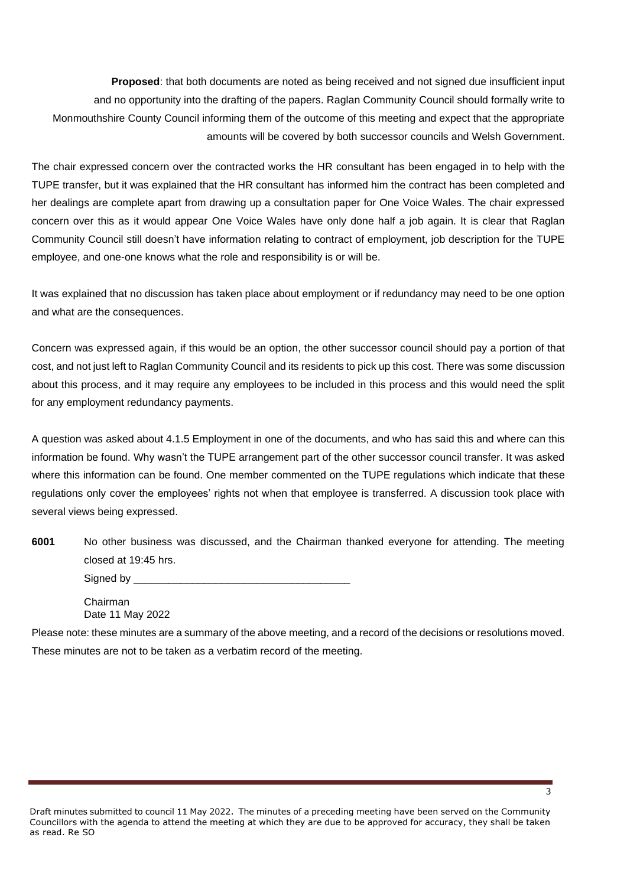**Proposed**: that both documents are noted as being received and not signed due insufficient input and no opportunity into the drafting of the papers. Raglan Community Council should formally write to Monmouthshire County Council informing them of the outcome of this meeting and expect that the appropriate amounts will be covered by both successor councils and Welsh Government.

The chair expressed concern over the contracted works the HR consultant has been engaged in to help with the TUPE transfer, but it was explained that the HR consultant has informed him the contract has been completed and her dealings are complete apart from drawing up a consultation paper for One Voice Wales. The chair expressed concern over this as it would appear One Voice Wales have only done half a job again. It is clear that Raglan Community Council still doesn't have information relating to contract of employment, job description for the TUPE employee, and one-one knows what the role and responsibility is or will be.

It was explained that no discussion has taken place about employment or if redundancy may need to be one option and what are the consequences.

Concern was expressed again, if this would be an option, the other successor council should pay a portion of that cost, and not just left to Raglan Community Council and its residents to pick up this cost. There was some discussion about this process, and it may require any employees to be included in this process and this would need the split for any employment redundancy payments.

A question was asked about 4.1.5 Employment in one of the documents, and who has said this and where can this information be found. Why wasn't the TUPE arrangement part of the other successor council transfer. It was asked where this information can be found. One member commented on the TUPE regulations which indicate that these regulations only cover the employees' rights not when that employee is transferred. A discussion took place with several views being expressed.

**6001** No other business was discussed, and the Chairman thanked everyone for attending. The meeting closed at 19:45 hrs.

| Signed by |  |
|-----------|--|
|-----------|--|

Chairman Date 11 May 2022

Please note: these minutes are a summary of the above meeting, and a record of the decisions or resolutions moved. These minutes are not to be taken as a verbatim record of the meeting.

Draft minutes submitted to council 11 May 2022. The minutes of a preceding meeting have been served on the Community Councillors with the agenda to attend the meeting at which they are due to be approved for accuracy, they shall be taken as read. Re SO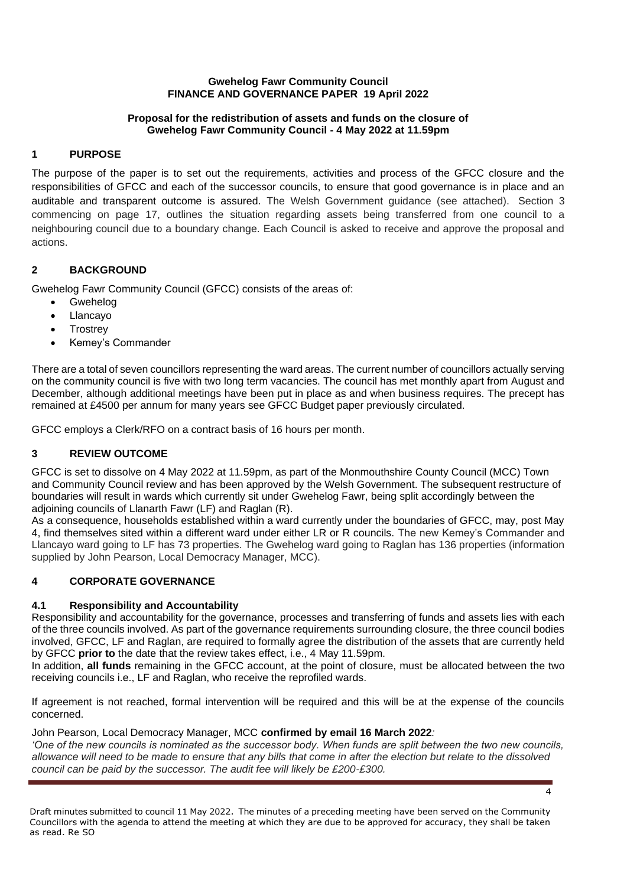### **Gwehelog Fawr Community Council FINANCE AND GOVERNANCE PAPER 19 April 2022**

### **Proposal for the redistribution of assets and funds on the closure of Gwehelog Fawr Community Council - 4 May 2022 at 11.59pm**

# **1 PURPOSE**

The purpose of the paper is to set out the requirements, activities and process of the GFCC closure and the responsibilities of GFCC and each of the successor councils, to ensure that good governance is in place and an auditable and transparent outcome is assured. The Welsh Government guidance (see attached). Section 3 commencing on page 17, outlines the situation regarding assets being transferred from one council to a neighbouring council due to a boundary change. Each Council is asked to receive and approve the proposal and actions.

## **2 BACKGROUND**

Gwehelog Fawr Community Council (GFCC) consists of the areas of:

- Gwehelog
- Llancayo
- **Trostrey**
- Kemey's Commander

There are a total of seven councillors representing the ward areas. The current number of councillors actually serving on the community council is five with two long term vacancies. The council has met monthly apart from August and December, although additional meetings have been put in place as and when business requires. The precept has remained at £4500 per annum for many years see GFCC Budget paper previously circulated.

GFCC employs a Clerk/RFO on a contract basis of 16 hours per month.

# **3 REVIEW OUTCOME**

GFCC is set to dissolve on 4 May 2022 at 11.59pm, as part of the Monmouthshire County Council (MCC) Town and Community Council review and has been approved by the Welsh Government. The subsequent restructure of boundaries will result in wards which currently sit under Gwehelog Fawr, being split accordingly between the adjoining councils of Llanarth Fawr (LF) and Raglan (R).

As a consequence, households established within a ward currently under the boundaries of GFCC, may, post May 4, find themselves sited within a different ward under either LR or R councils. The new Kemey's Commander and Llancayo ward going to LF has 73 properties. The Gwehelog ward going to Raglan has 136 properties (information supplied by John Pearson, Local Democracy Manager, MCC).

# **4 CORPORATE GOVERNANCE**

# **4.1 Responsibility and Accountability**

Responsibility and accountability for the governance, processes and transferring of funds and assets lies with each of the three councils involved. As part of the governance requirements surrounding closure, the three council bodies involved, GFCC, LF and Raglan, are required to formally agree the distribution of the assets that are currently held by GFCC **prior to** the date that the review takes effect, i.e., 4 May 11.59pm.

In addition, **all funds** remaining in the GFCC account, at the point of closure, must be allocated between the two receiving councils i.e., LF and Raglan, who receive the reprofiled wards.

If agreement is not reached, formal intervention will be required and this will be at the expense of the councils concerned.

### John Pearson, Local Democracy Manager, MCC **confirmed by email 16 March 2022***:*

*'One of the new councils is nominated as the successor body. When funds are split between the two new councils, allowance will need to be made to ensure that any bills that come in after the election but relate to the dissolved council can be paid by the successor. The audit fee will likely be £200-£300.*

4

Draft minutes submitted to council 11 May 2022. The minutes of a preceding meeting have been served on the Community Councillors with the agenda to attend the meeting at which they are due to be approved for accuracy, they shall be taken as read. Re SO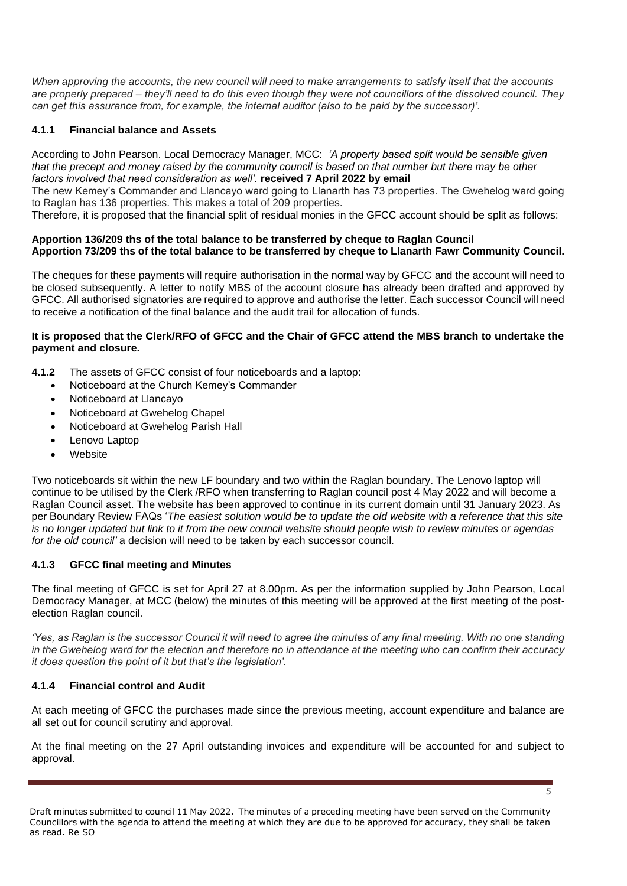*When approving the accounts, the new council will need to make arrangements to satisfy itself that the accounts are properly prepared – they'll need to do this even though they were not councillors of the dissolved council. They can get this assurance from, for example, the internal auditor (also to be paid by the successor)'.*

## **4.1.1 Financial balance and Assets**

According to John Pearson. Local Democracy Manager, MCC: *'A property based split would be sensible given that the precept and money raised by the community council is based on that number but there may be other factors involved that need consideration as well'.* **received 7 April 2022 by email**

The new Kemey's Commander and Llancayo ward going to Llanarth has 73 properties. The Gwehelog ward going to Raglan has 136 properties. This makes a total of 209 properties.

Therefore, it is proposed that the financial split of residual monies in the GFCC account should be split as follows:

#### **Apportion 136/209 ths of the total balance to be transferred by cheque to Raglan Council Apportion 73/209 ths of the total balance to be transferred by cheque to Llanarth Fawr Community Council.**

The cheques for these payments will require authorisation in the normal way by GFCC and the account will need to be closed subsequently. A letter to notify MBS of the account closure has already been drafted and approved by GFCC. All authorised signatories are required to approve and authorise the letter. Each successor Council will need to receive a notification of the final balance and the audit trail for allocation of funds.

#### **It is proposed that the Clerk/RFO of GFCC and the Chair of GFCC attend the MBS branch to undertake the payment and closure.**

- **4.1.2** The assets of GFCC consist of four noticeboards and a laptop:
	- Noticeboard at the Church Kemey's Commander
		- Noticeboard at Llancayo
	- Noticeboard at Gwehelog Chapel
	- Noticeboard at Gwehelog Parish Hall
	- Lenovo Laptop
	- **Website**

Two noticeboards sit within the new LF boundary and two within the Raglan boundary. The Lenovo laptop will continue to be utilised by the Clerk /RFO when transferring to Raglan council post 4 May 2022 and will become a Raglan Council asset. The website has been approved to continue in its current domain until 31 January 2023. As per Boundary Review FAQs '*The easiest solution would be to update the old website with a reference that this site is no longer updated but link to it from the new council website should people wish to review minutes or agendas for the old council'* a decision will need to be taken by each successor council.

### **4.1.3 GFCC final meeting and Minutes**

The final meeting of GFCC is set for April 27 at 8.00pm. As per the information supplied by John Pearson, Local Democracy Manager, at MCC (below) the minutes of this meeting will be approved at the first meeting of the postelection Raglan council.

*'Yes, as Raglan is the successor Council it will need to agree the minutes of any final meeting. With no one standing in the Gwehelog ward for the election and therefore no in attendance at the meeting who can confirm their accuracy it does question the point of it but that's the legislation'.*

# **4.1.4 Financial control and Audit**

At each meeting of GFCC the purchases made since the previous meeting, account expenditure and balance are all set out for council scrutiny and approval.

At the final meeting on the 27 April outstanding invoices and expenditure will be accounted for and subject to approval.

5

Draft minutes submitted to council 11 May 2022. The minutes of a preceding meeting have been served on the Community Councillors with the agenda to attend the meeting at which they are due to be approved for accuracy, they shall be taken as read. Re SO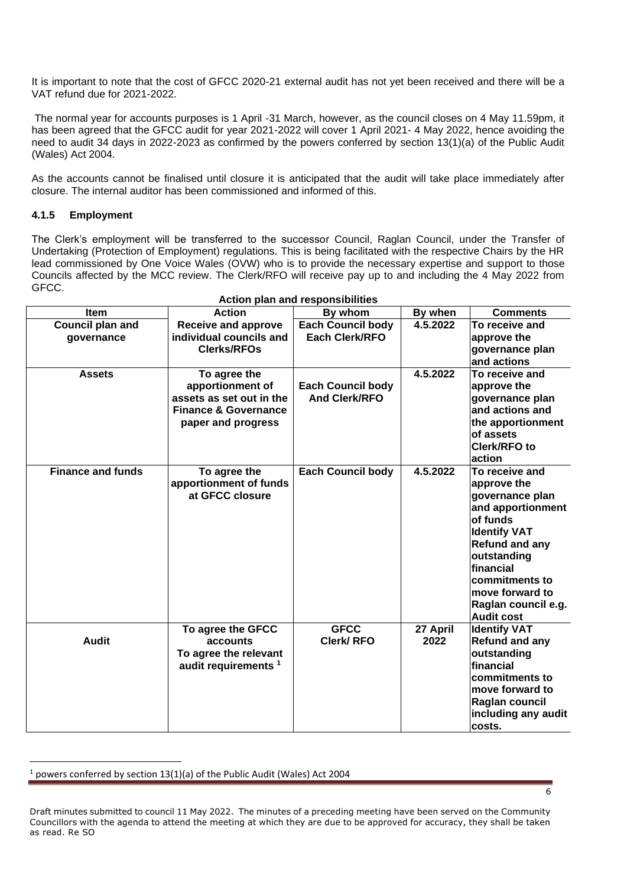It is important to note that the cost of GFCC 2020-21 external audit has not yet been received and there will be a VAT refund due for 2021-2022.

The normal year for accounts purposes is 1 April -31 March, however, as the council closes on 4 May 11.59pm, it has been agreed that the GFCC audit for year 2021-2022 will cover 1 April 2021- 4 May 2022, hence avoiding the need to audit 34 days in 2022-2023 as confirmed by the powers conferred by section 13(1)(a) of the Public Audit (Wales) Act 2004.

As the accounts cannot be finalised until closure it is anticipated that the audit will take place immediately after closure. The internal auditor has been commissioned and informed of this.

## **4.1.5 Employment**

The Clerk's employment will be transferred to the successor Council, Raglan Council, under the Transfer of Undertaking (Protection of Employment) regulations. This is being facilitated with the respective Chairs by the HR lead commissioned by One Voice Wales (OVW) who is to provide the necessary expertise and support to those Councils affected by the MCC review. The Clerk/RFO will receive pay up to and including the 4 May 2022 from GFCC.

|                          |                                 | Action plan and responsibilities |          |                                          |
|--------------------------|---------------------------------|----------------------------------|----------|------------------------------------------|
| <b>Item</b>              | <b>Action</b>                   | By whom                          | By when  | <b>Comments</b>                          |
| <b>Council plan and</b>  | Receive and approve             | <b>Each Council body</b>         | 4.5.2022 | To receive and                           |
| governance               | individual councils and         | <b>Each Clerk/RFO</b>            |          | approve the                              |
|                          | <b>Clerks/RFOs</b>              |                                  |          | governance plan                          |
|                          |                                 |                                  |          | and actions                              |
| <b>Assets</b>            | To agree the                    |                                  | 4.5.2022 | To receive and                           |
|                          | apportionment of                | <b>Each Council body</b>         |          | approve the                              |
|                          | assets as set out in the        | <b>And Clerk/RFO</b>             |          | governance plan                          |
|                          | <b>Finance &amp; Governance</b> |                                  |          | and actions and                          |
|                          | paper and progress              |                                  |          | the apportionment                        |
|                          |                                 |                                  |          | of assets                                |
|                          |                                 |                                  |          | Clerk/RFO to                             |
|                          |                                 |                                  |          | action                                   |
| <b>Finance and funds</b> | To agree the                    | <b>Each Council body</b>         | 4.5.2022 | To receive and                           |
|                          | apportionment of funds          |                                  |          | approve the                              |
|                          | at GFCC closure                 |                                  |          | governance plan                          |
|                          |                                 |                                  |          | and apportionment                        |
|                          |                                 |                                  |          | of funds                                 |
|                          |                                 |                                  |          | <b>Identify VAT</b>                      |
|                          |                                 |                                  |          | <b>Refund and any</b>                    |
|                          |                                 |                                  |          | outstanding                              |
|                          |                                 |                                  |          | financial                                |
|                          |                                 |                                  |          | commitments to                           |
|                          |                                 |                                  |          | move forward to                          |
|                          |                                 |                                  |          | Raglan council e.g.                      |
|                          |                                 | <b>GFCC</b>                      | 27 April | <b>Audit cost</b><br><b>Identify VAT</b> |
| <b>Audit</b>             | To agree the GFCC<br>accounts   | <b>Clerk/RFO</b>                 | 2022     | <b>Refund and any</b>                    |
|                          | To agree the relevant           |                                  |          | outstanding                              |
|                          | audit requirements <sup>1</sup> |                                  |          | <b>financial</b>                         |
|                          |                                 |                                  |          | commitments to                           |
|                          |                                 |                                  |          | move forward to                          |
|                          |                                 |                                  |          | Raglan council                           |
|                          |                                 |                                  |          | including any audit                      |
|                          |                                 |                                  |          | costs.                                   |
|                          |                                 |                                  |          |                                          |

<sup>1</sup> powers conferred by section 13(1)(a) of the Public Audit (Wales) Act 2004

Draft minutes submitted to council 11 May 2022. The minutes of a preceding meeting have been served on the Community Councillors with the agenda to attend the meeting at which they are due to be approved for accuracy, they shall be taken as read. Re SO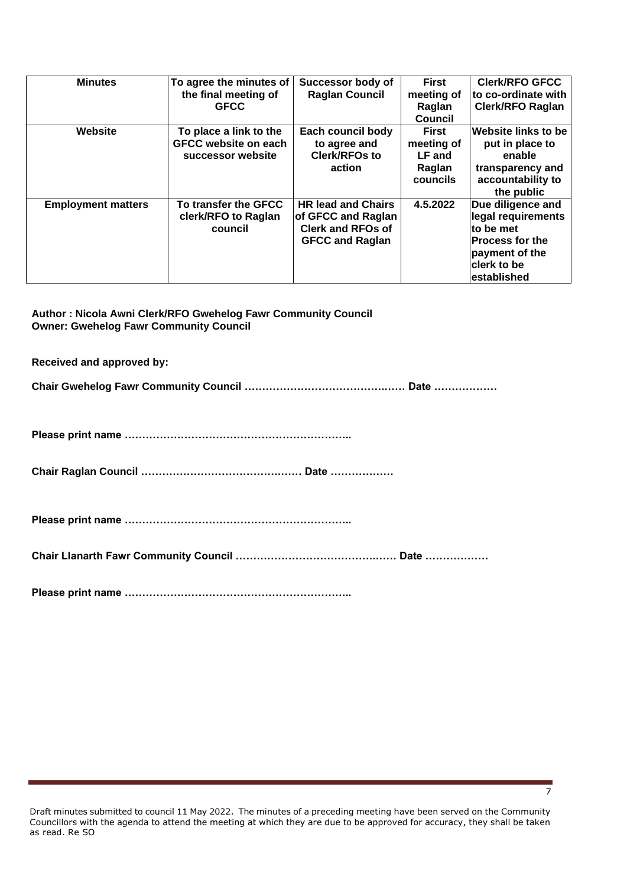| <b>Minutes</b>            | To agree the minutes of<br>the final meeting of<br><b>GFCC</b>             | Successor body of<br><b>Raglan Council</b>                                                            | <b>First</b><br>meeting of<br>Raglan<br><b>Council</b>     | <b>Clerk/RFO GFCC</b><br>to co-ordinate with<br><b>Clerk/RFO Raglan</b>                                                        |
|---------------------------|----------------------------------------------------------------------------|-------------------------------------------------------------------------------------------------------|------------------------------------------------------------|--------------------------------------------------------------------------------------------------------------------------------|
| Website                   | To place a link to the<br><b>GFCC website on each</b><br>successor website | Each council body<br>to agree and<br><b>Clerk/RFOs to</b><br>action                                   | <b>First</b><br>meeting of<br>LF and<br>Raglan<br>councils | <b>Website links to be</b><br>put in place to<br>enable<br>transparency and<br>accountability to<br>the public                 |
| <b>Employment matters</b> | To transfer the GFCC<br>clerk/RFO to Raglan<br>council                     | <b>HR lead and Chairs</b><br>of GFCC and Raglan<br><b>Clerk and RFOs of</b><br><b>GFCC and Raglan</b> | 4.5.2022                                                   | Due diligence and<br>legal requirements<br>to be met<br><b>Process for the</b><br>payment of the<br>clerk to be<br>established |

**Author : Nicola Awni Clerk/RFO Gwehelog Fawr Community Council Owner: Gwehelog Fawr Community Council** 

**Received and approved by:**

**Chair Gwehelog Fawr Community Council ………………………………….…… Date ………………**

**Please print name ………………………………………………………..**

**Chair Raglan Council ………………………………….…… Date ………………**

**Please print name ………………………………………………………..**

**Chair Llanarth Fawr Community Council ………………………………….…… Date ………………**

**Please print name ………………………………………………………..**

7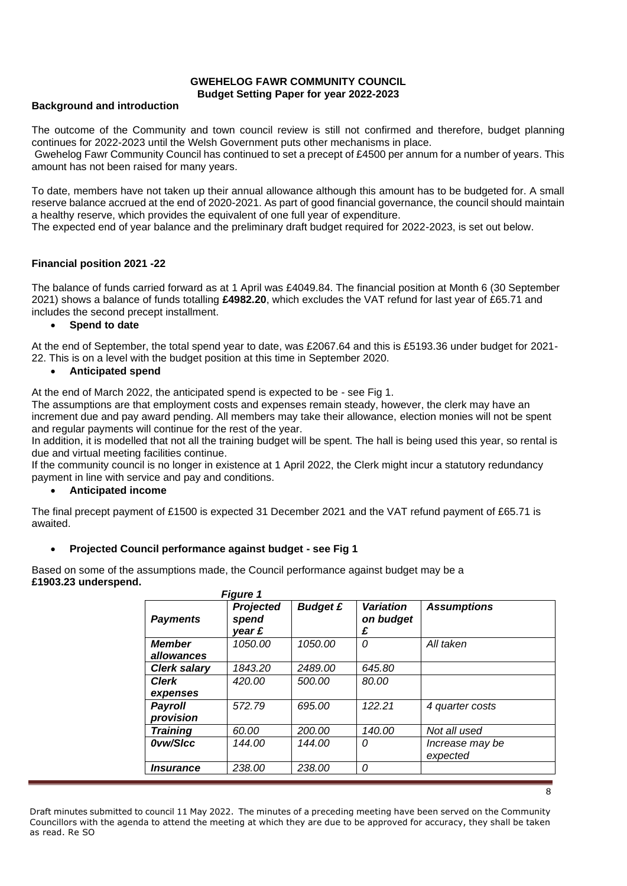#### **GWEHELOG FAWR COMMUNITY COUNCIL Budget Setting Paper for year 2022-2023**

#### **Background and introduction**

The outcome of the Community and town council review is still not confirmed and therefore, budget planning continues for 2022-2023 until the Welsh Government puts other mechanisms in place.

Gwehelog Fawr Community Council has continued to set a precept of £4500 per annum for a number of years. This amount has not been raised for many years.

To date, members have not taken up their annual allowance although this amount has to be budgeted for. A small reserve balance accrued at the end of 2020-2021. As part of good financial governance, the council should maintain a healthy reserve, which provides the equivalent of one full year of expenditure.

The expected end of year balance and the preliminary draft budget required for 2022-2023, is set out below.

### **Financial position 2021 -22**

The balance of funds carried forward as at 1 April was £4049.84. The financial position at Month 6 (30 September 2021) shows a balance of funds totalling **£4982.20**, which excludes the VAT refund for last year of £65.71 and includes the second precept installment.

#### • **Spend to date**

At the end of September, the total spend year to date, was £2067.64 and this is £5193.36 under budget for 2021- 22. This is on a level with the budget position at this time in September 2020.

#### • **Anticipated spend**

At the end of March 2022, the anticipated spend is expected to be - see Fig 1.

The assumptions are that employment costs and expenses remain steady, however, the clerk may have an increment due and pay award pending. All members may take their allowance, election monies will not be spent and regular payments will continue for the rest of the year.

In addition, it is modelled that not all the training budget will be spent. The hall is being used this year, so rental is due and virtual meeting facilities continue.

If the community council is no longer in existence at 1 April 2022, the Clerk might incur a statutory redundancy payment in line with service and pay and conditions.

### • **Anticipated income**

The final precept payment of £1500 is expected 31 December 2021 and the VAT refund payment of £65.71 is awaited.

## • **Projected Council performance against budget - see Fig 1**

Based on some of the assumptions made, the Council performance against budget may be a **£1903.23 underspend.**

|                             | <b>Figure 1</b>                     |                 |                                    |                             |
|-----------------------------|-------------------------------------|-----------------|------------------------------------|-----------------------------|
| <b>Payments</b>             | <b>Projected</b><br>spend<br>year £ | <b>Budget £</b> | <b>Variation</b><br>on budget<br>£ | <b>Assumptions</b>          |
| <b>Member</b><br>allowances | 1050.00                             | 1050.00         | 0                                  | All taken                   |
| <b>Clerk salary</b>         | 1843.20                             | 2489.00         | 645.80                             |                             |
| <b>Clerk</b><br>expenses    | 420.00                              | 500.00          | 80.00                              |                             |
| Payroll<br>provision        | 572.79                              | 695.00          | 122.21                             | 4 quarter costs             |
| <b>Training</b>             | 60.00                               | 200.00          | 140.00                             | Not all used                |
| Ovw/Sicc                    | 144.00                              | 144.00          | 0                                  | Increase may be<br>expected |
| <i><b>Insurance</b></i>     | 238.00                              | 238.00          | 0                                  |                             |

Draft minutes submitted to council 11 May 2022. The minutes of a preceding meeting have been served on the Community Councillors with the agenda to attend the meeting at which they are due to be approved for accuracy, they shall be taken as read. Re SO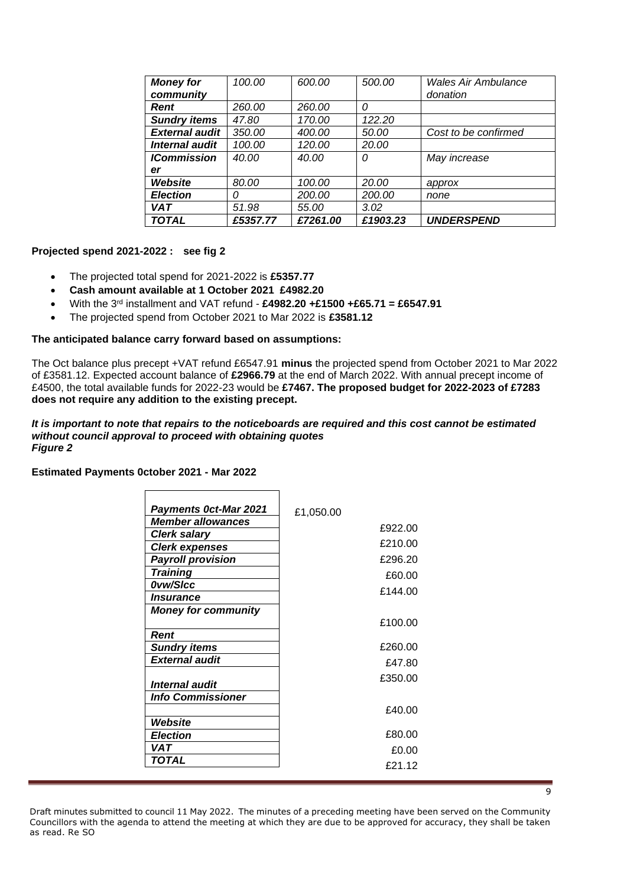| <b>TOTAL</b>          | £5357.77 | £7261.00 | £1903.23 | <b>UNDERSPEND</b>          |
|-----------------------|----------|----------|----------|----------------------------|
| <b>VAT</b>            | 51.98    | 55.00    | 3.02     |                            |
| <b>Election</b>       | 0        | 200.00   | 200.00   | none                       |
| Website               | 80.00    | 100.00   | 20.00    | approx                     |
| er                    |          |          |          |                            |
| <b>ICommission</b>    | 40.00    | 40.00    | 0        | May increase               |
| Internal audit        | 100.00   | 120.00   | 20.00    |                            |
| <b>External audit</b> | 350.00   | 400.00   | 50.00    | Cost to be confirmed       |
| <b>Sundry items</b>   | 47.80    | 170.00   | 122.20   |                            |
| Rent                  | 260.00   | 260.00   | 0        |                            |
| community             |          |          |          | donation                   |
| <b>Money for</b>      | 100.00   | 600.00   | 500.00   | <b>Wales Air Ambulance</b> |

#### **Projected spend 2021-2022 : see fig 2**

- The projected total spend for 2021-2022 is **£5357.77**
- **Cash amount available at 1 October 2021 £4982.20**
- With the 3rd installment and VAT refund **£4982.20 +£1500 +£65.71 = £6547.91**
- The projected spend from October 2021 to Mar 2022 is **£3581.12**

### **The anticipated balance carry forward based on assumptions:**

The Oct balance plus precept +VAT refund £6547.91 **minus** the projected spend from October 2021 to Mar 2022 of £3581.12. Expected account balance of **£2966.79** at the end of March 2022. With annual precept income of £4500, the total available funds for 2022-23 would be **£7467. The proposed budget for 2022-2023 of £7283 does not require any addition to the existing precept.**

#### *It is important to note that repairs to the noticeboards are required and this cost cannot be estimated without council approval to proceed with obtaining quotes Figure 2*

 $\overline{\phantom{a}}$ 

# **Estimated Payments 0ctober 2021 - Mar 2022**  $\mathbf{r}$

| <b>Payments Oct-Mar 2021</b> | £1,050.00 |
|------------------------------|-----------|
| <b>Member allowances</b>     | £922.00   |
| <b>Clerk salary</b>          |           |
| <b>Clerk expenses</b>        | £210.00   |
| <b>Payroll provision</b>     | £296.20   |
| <b>Training</b>              | £60.00    |
| Ovw/SIcc                     | £144.00   |
| Insurance                    |           |
| <b>Money for community</b>   |           |
|                              | £100.00   |
| Rent                         |           |
| <b>Sundry items</b>          | £260.00   |
| <b>External audit</b>        | £47.80    |
|                              | £350.00   |
| Internal audit               |           |
| <b>Info Commissioner</b>     |           |
|                              | £40.00    |
| Website                      |           |
| <b>Election</b>              | £80.00    |
| VAT                          | £0.00     |
| TOTAL                        | £21.12    |
|                              |           |

Draft minutes submitted to council 11 May 2022. The minutes of a preceding meeting have been served on the Community Councillors with the agenda to attend the meeting at which they are due to be approved for accuracy, they shall be taken as read. Re SO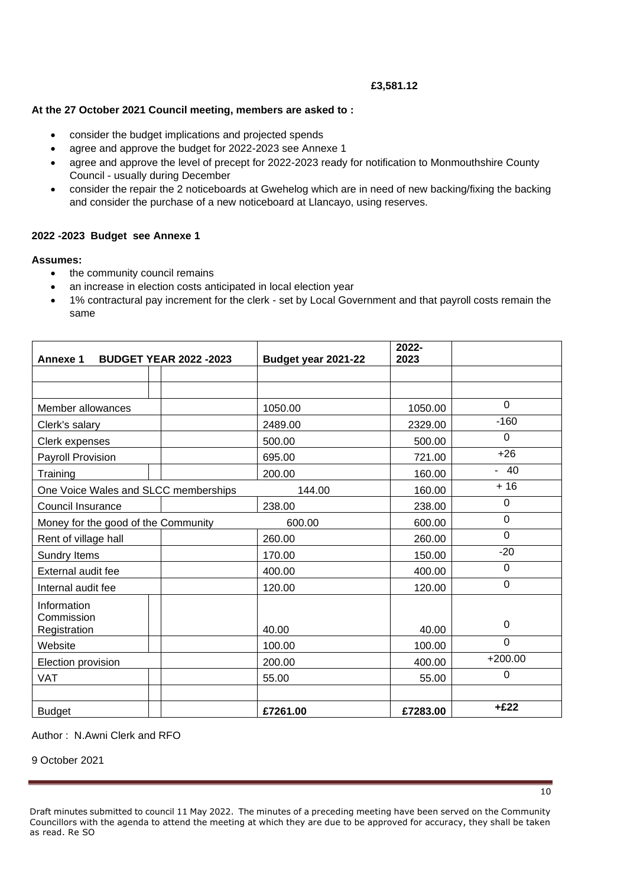#### **£3,581.12**

## **At the 27 October 2021 Council meeting, members are asked to :**

- consider the budget implications and projected spends
- agree and approve the budget for 2022-2023 see Annexe 1
- agree and approve the level of precept for 2022-2023 ready for notification to Monmouthshire County Council - usually during December
- consider the repair the 2 noticeboards at Gwehelog which are in need of new backing/fixing the backing and consider the purchase of a new noticeboard at Llancayo, using reserves.

#### **2022 -2023 Budget see Annexe 1**

#### **Assumes:**

- the community council remains
- an increase in election costs anticipated in local election year
- 1% contractural pay increment for the clerk set by Local Government and that payroll costs remain the same

| <b>Annexe 1</b>                      | <b>BUDGET YEAR 2022 -2023</b> | Budget year 2021-22 | 2022-<br>2023 |           |
|--------------------------------------|-------------------------------|---------------------|---------------|-----------|
|                                      |                               |                     |               |           |
|                                      |                               |                     |               |           |
| Member allowances                    |                               | 1050.00             | 1050.00       | 0         |
| Clerk's salary                       |                               | 2489.00             | 2329.00       | $-160$    |
| Clerk expenses                       |                               | 500.00              | 500.00        | 0         |
| Payroll Provision                    |                               | 695.00              | 721.00        | $+26$     |
| Training                             |                               | 200.00              | 160.00        | $-40$     |
| One Voice Wales and SLCC memberships |                               | 144.00              | 160.00        | $+16$     |
| Council Insurance                    |                               | 238.00              | 238.00        | 0         |
| Money for the good of the Community  |                               | 600.00              | 600.00        | 0         |
| Rent of village hall                 |                               | 260.00              | 260.00        | 0         |
| Sundry Items                         |                               | 170.00              | 150.00        | $-20$     |
| External audit fee                   |                               | 400.00              | 400.00        | 0         |
| Internal audit fee                   |                               | 120.00              | 120.00        | $\Omega$  |
| Information                          |                               |                     |               |           |
| Commission<br>Registration           |                               | 40.00               | 40.00         | 0         |
| Website                              |                               | 100.00              | 100.00        | 0         |
| Election provision                   |                               | 200.00              | 400.00        | $+200.00$ |
| <b>VAT</b>                           |                               | 55.00               | 55.00         | 0         |
|                                      |                               |                     |               |           |
| <b>Budget</b>                        |                               | £7261.00            | £7283.00      | $+£22$    |

### Author : N.Awni Clerk and RFO

#### 9 October 2021

Draft minutes submitted to council 11 May 2022. The minutes of a preceding meeting have been served on the Community Councillors with the agenda to attend the meeting at which they are due to be approved for accuracy, they shall be taken as read. Re SO